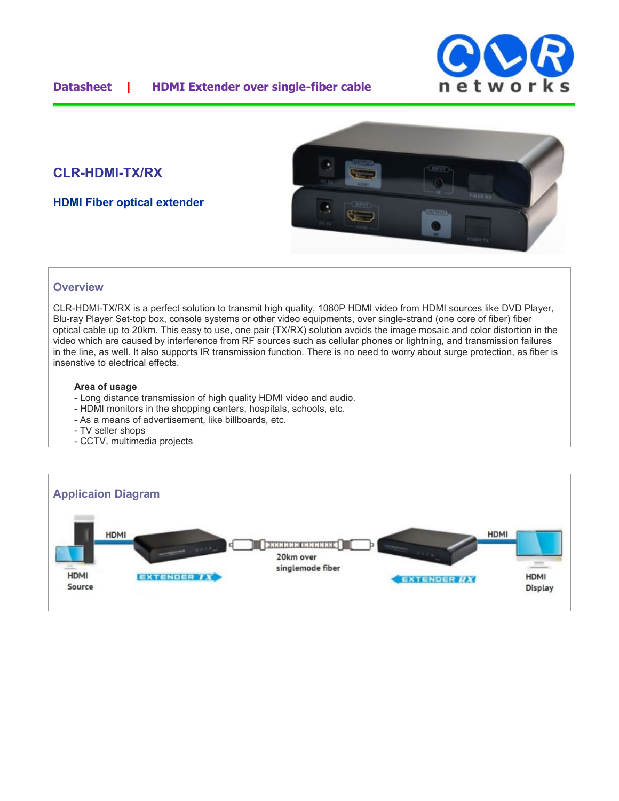

# **CLR-HDMI-TX/RX**

**HDMI Fiber optical extender**



### **Overview**

CLR-HDMI-TX/RX is a perfect solution to transmit high quality, 1080P HDMI video from HDMI sources like DVD Player, Blu-ray Player Set-top box, console systems or other video equipments, over single-strand (one core of fiber) fiber optical cable up to 20km. This easy to use, one pair (TX/RX) solution avoids the image mosaic and color distortion in the video which are caused by interference from RF sources such as cellular phones or lightning, and transmission failures in the line, as well. It also supports IR transmission function. There is no need to worry about surge protection, as fiber is insenstive to electrical effects.

#### **Area of usage**

- Long distance transmission of high quality HDMI video and audio.
- HDMI monitors in the shopping centers, hospitals, schools, etc.
- As a means of advertisement, like billboards, etc.
- TV seller shops
- CCTV, multimedia projects

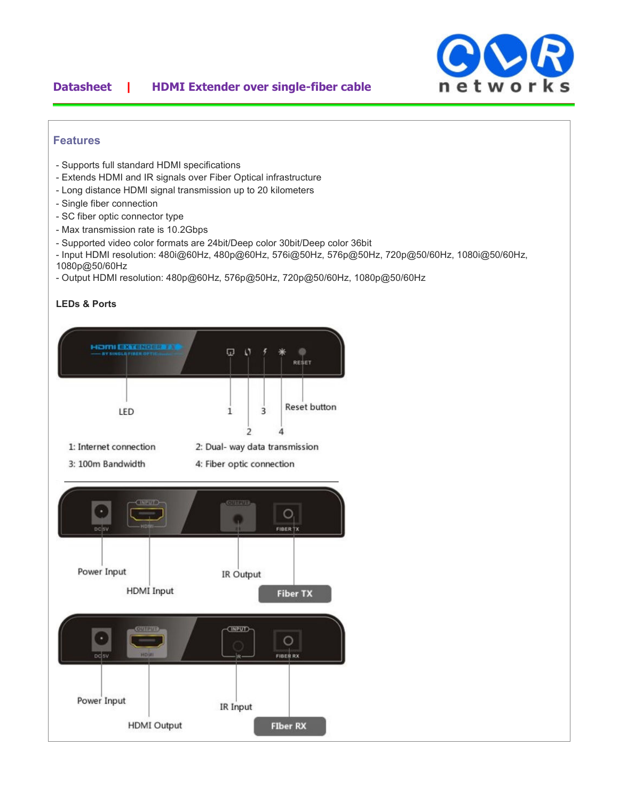## **Datasheet | HDMI Extender over single-fiber cable**



#### **Features**

- Supports full standard HDMI specifications
- Extends HDMI and IR signals over Fiber Optical infrastructure
- Long distance HDMI signal transmission up to 20 kilometers
- Single fiber connection
- SC fiber optic connector type
- Max transmission rate is 10.2Gbps
- Supported video color formats are 24bit/Deep color 30bit/Deep color 36bit
- Input HDMI resolution: 480i@60Hz, 480p@60Hz, 576i@50Hz, 576p@50Hz, 720p@50/60Hz, 1080i@50/60Hz,
- 1080p@50/60Hz
- Output HDMI resolution: 480p@60Hz, 576p@50Hz, 720p@50/60Hz, 1080p@50/60Hz